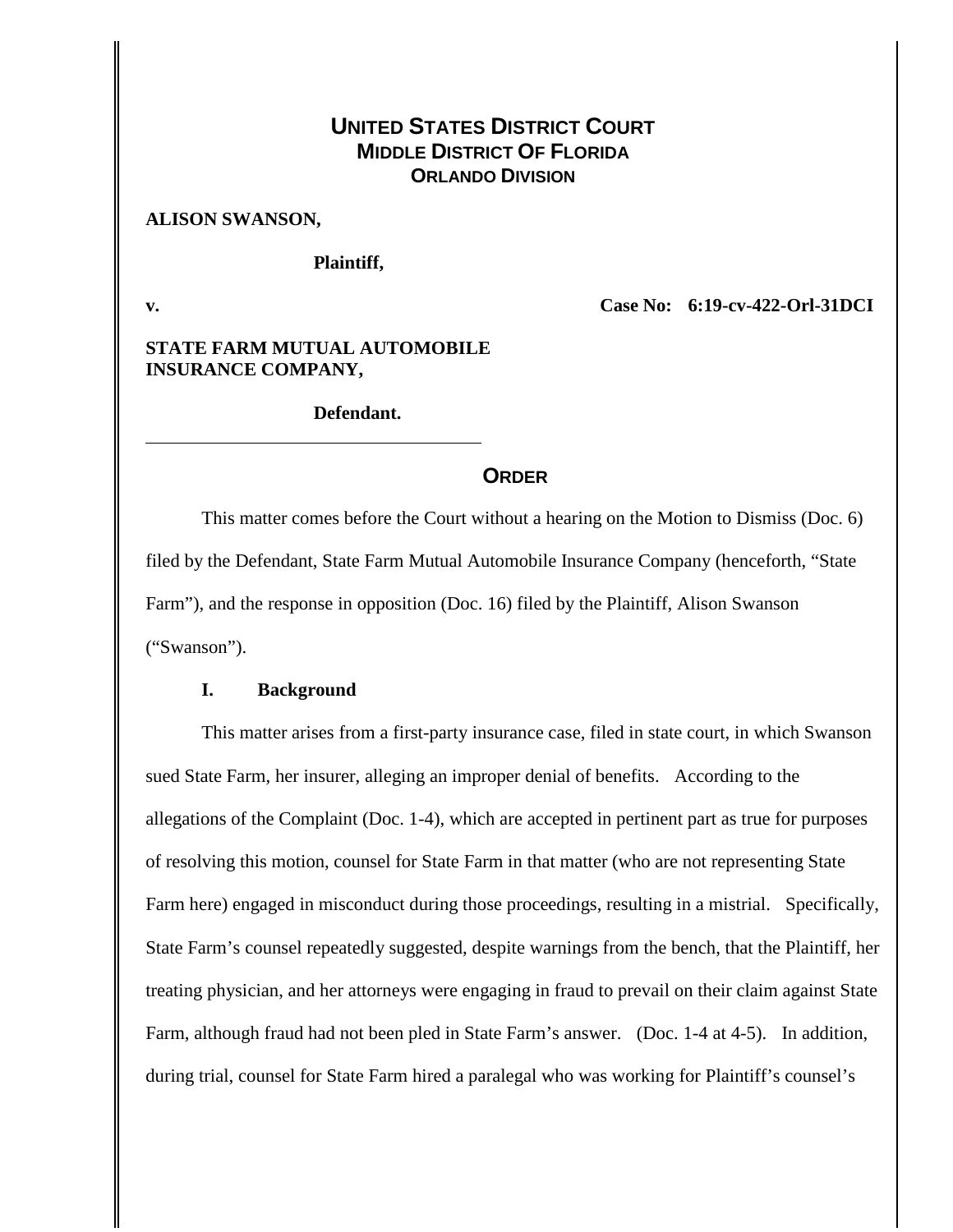# **UNITED STATES DISTRICT COURT MIDDLE DISTRICT OF FLORIDA ORLANDO DIVISION**

#### **ALISON SWANSON,**

**Plaintiff,**

**v. Case No: 6:19-cv-422-Orl-31DCI**

### **STATE FARM MUTUAL AUTOMOBILE INSURANCE COMPANY,**

## **Defendant.**

### **ORDER**

This matter comes before the Court without a hearing on the Motion to Dismiss (Doc. 6) filed by the Defendant, State Farm Mutual Automobile Insurance Company (henceforth, "State Farm"), and the response in opposition (Doc. 16) filed by the Plaintiff, Alison Swanson ("Swanson").

## **I. Background**

This matter arises from a first-party insurance case, filed in state court, in which Swanson sued State Farm, her insurer, alleging an improper denial of benefits. According to the allegations of the Complaint (Doc. 1-4), which are accepted in pertinent part as true for purposes of resolving this motion, counsel for State Farm in that matter (who are not representing State Farm here) engaged in misconduct during those proceedings, resulting in a mistrial. Specifically, State Farm's counsel repeatedly suggested, despite warnings from the bench, that the Plaintiff, her treating physician, and her attorneys were engaging in fraud to prevail on their claim against State Farm, although fraud had not been pled in State Farm's answer. (Doc. 1-4 at 4-5). In addition, during trial, counsel for State Farm hired a paralegal who was working for Plaintiff's counsel's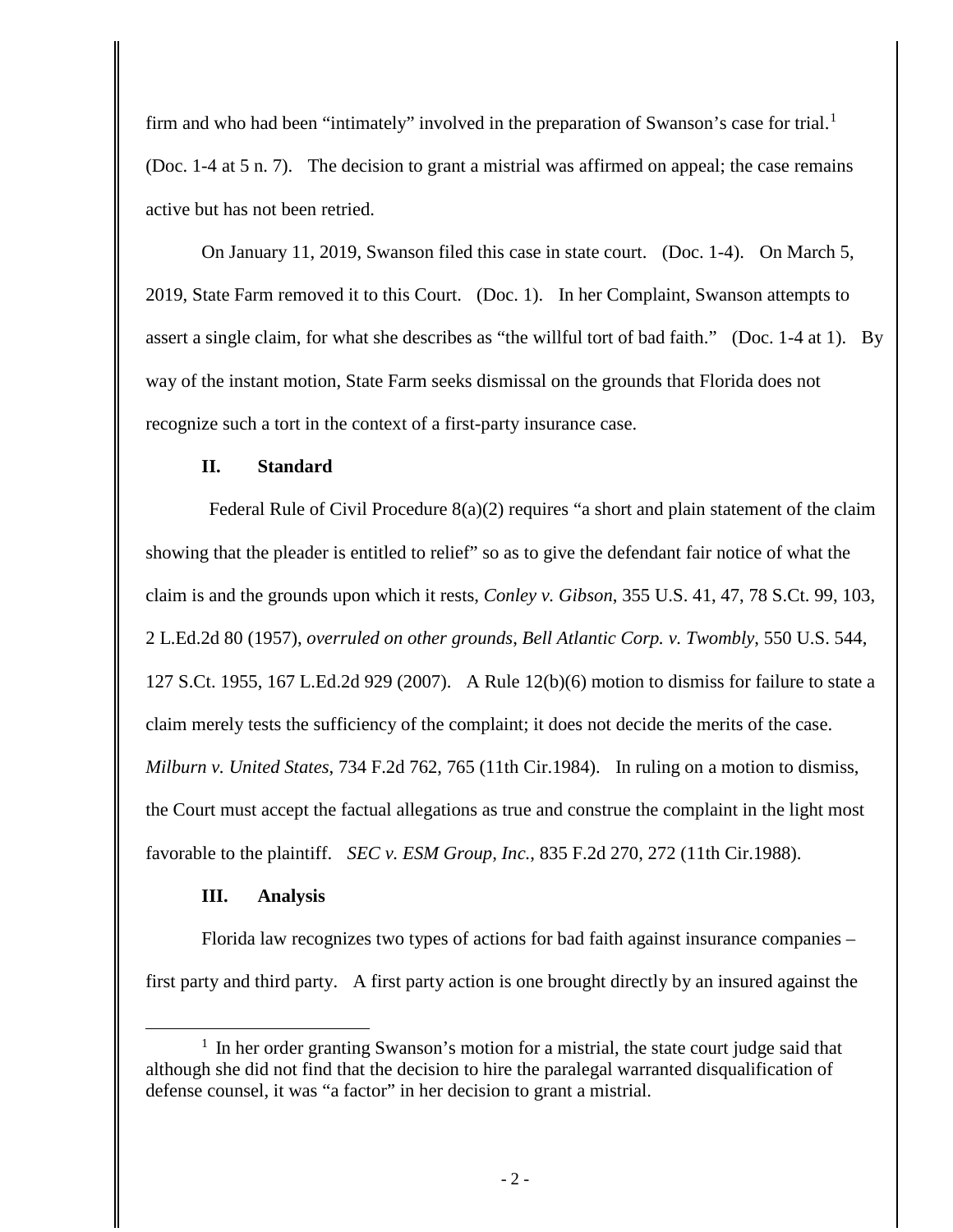firm and who had been "intimately" involved in the preparation of Swanson's case for trial.<sup>[1](#page-1-0)</sup> (Doc. 1-4 at 5 n. 7). The decision to grant a mistrial was affirmed on appeal; the case remains active but has not been retried.

On January 11, 2019, Swanson filed this case in state court. (Doc. 1-4). On March 5, 2019, State Farm removed it to this Court. (Doc. 1). In her Complaint, Swanson attempts to assert a single claim, for what she describes as "the willful tort of bad faith." (Doc. 1-4 at 1). By way of the instant motion, State Farm seeks dismissal on the grounds that Florida does not recognize such a tort in the context of a first-party insurance case.

## **II. Standard**

Federal Rule of Civil Procedure  $8(a)(2)$  requires "a short and plain statement of the claim showing that the pleader is entitled to relief" so as to give the defendant fair notice of what the claim is and the grounds upon which it rests, *Conley v. Gibson*, 355 U.S. 41, 47, 78 S.Ct. 99, 103, 2 L.Ed.2d 80 (1957), *overruled on other grounds*, *Bell Atlantic Corp. v. Twombly*, 550 U.S. 544, 127 S.Ct. 1955, 167 L.Ed.2d 929 (2007). A Rule 12(b)(6) motion to dismiss for failure to state a claim merely tests the sufficiency of the complaint; it does not decide the merits of the case. *Milburn v. United States*, 734 F.2d 762, 765 (11th Cir.1984). In ruling on a motion to dismiss, the Court must accept the factual allegations as true and construe the complaint in the light most favorable to the plaintiff. *SEC v. ESM Group, Inc.*, 835 F.2d 270, 272 (11th Cir.1988).

## **III. Analysis**

Florida law recognizes two types of actions for bad faith against insurance companies – first party and third party. A first party action is one brought directly by an insured against the

<span id="page-1-0"></span><sup>&</sup>lt;sup>1</sup> In her order granting Swanson's motion for a mistrial, the state court judge said that although she did not find that the decision to hire the paralegal warranted disqualification of defense counsel, it was "a factor" in her decision to grant a mistrial.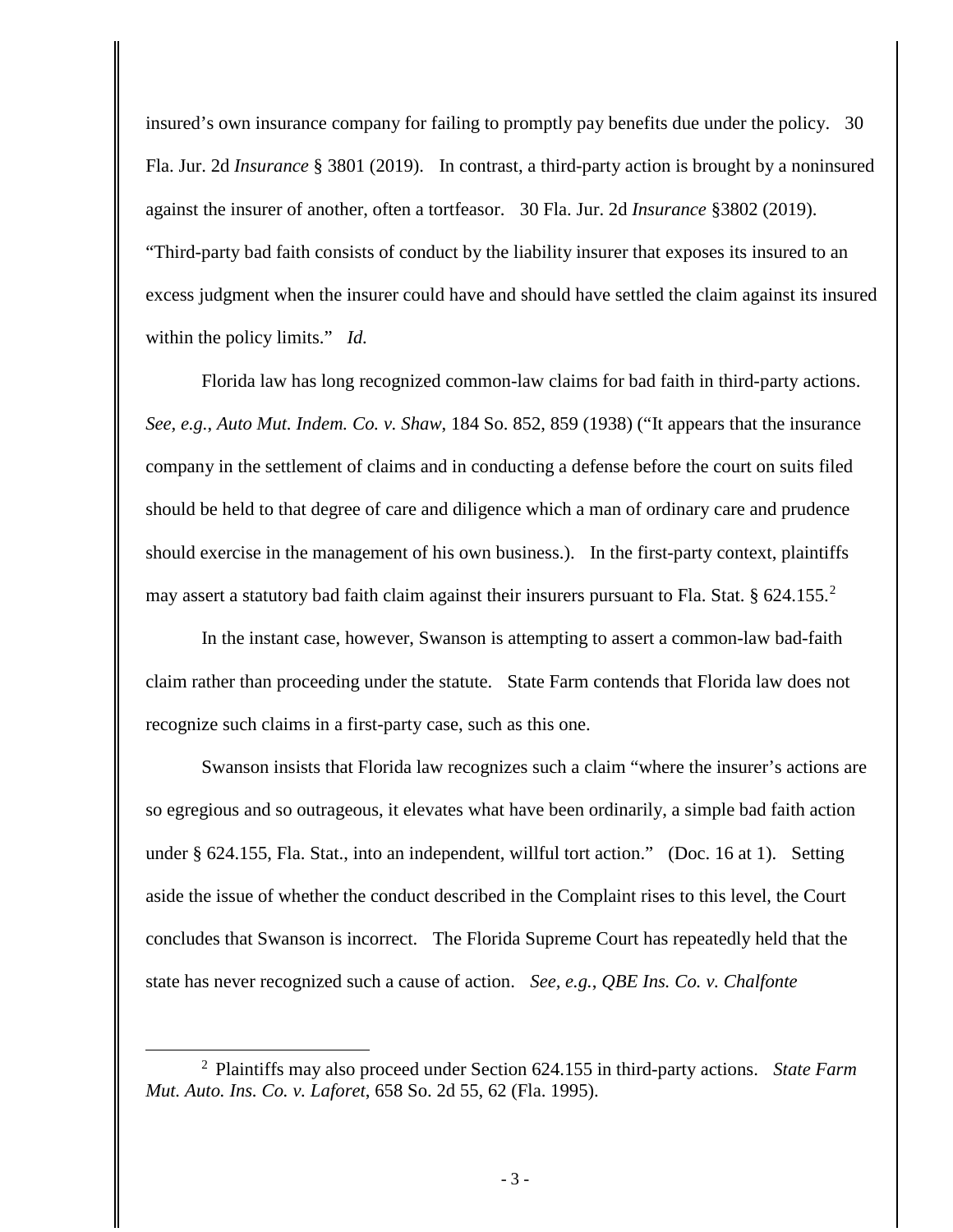insured's own insurance company for failing to promptly pay benefits due under the policy. 30 Fla. Jur. 2d *Insurance* § 3801 (2019). In contrast, a third-party action is brought by a noninsured against the insurer of another, often a tortfeasor. 30 Fla. Jur. 2d *Insurance* §3802 (2019). "Third-party bad faith consists of conduct by the liability insurer that exposes its insured to an excess judgment when the insurer could have and should have settled the claim against its insured within the policy limits." *Id.*

Florida law has long recognized common-law claims for bad faith in third-party actions. *See, e.g.*, *Auto Mut. Indem. Co. v. Shaw*, 184 So. 852, 859 (1938) ("It appears that the insurance company in the settlement of claims and in conducting a defense before the court on suits filed should be held to that degree of care and diligence which a man of ordinary care and prudence should exercise in the management of his own business.). In the first-party context, plaintiffs may assert a statutory bad faith claim against their insurers pursuant to Fla. Stat. § 6[2](#page-2-0)4.155.<sup>2</sup>

In the instant case, however, Swanson is attempting to assert a common-law bad-faith claim rather than proceeding under the statute. State Farm contends that Florida law does not recognize such claims in a first-party case, such as this one.

Swanson insists that Florida law recognizes such a claim "where the insurer's actions are so egregious and so outrageous, it elevates what have been ordinarily, a simple bad faith action under § 624.155, Fla. Stat., into an independent, willful tort action." (Doc. 16 at 1). Setting aside the issue of whether the conduct described in the Complaint rises to this level, the Court concludes that Swanson is incorrect. The Florida Supreme Court has repeatedly held that the state has never recognized such a cause of action. *See, e.g.*, *QBE Ins. Co. v. Chalfonte* 

<span id="page-2-0"></span> <sup>2</sup> Plaintiffs may also proceed under Section 624.155 in third-party actions. *State Farm Mut. Auto. Ins. Co. v. Laforet*, 658 So. 2d 55, 62 (Fla. 1995).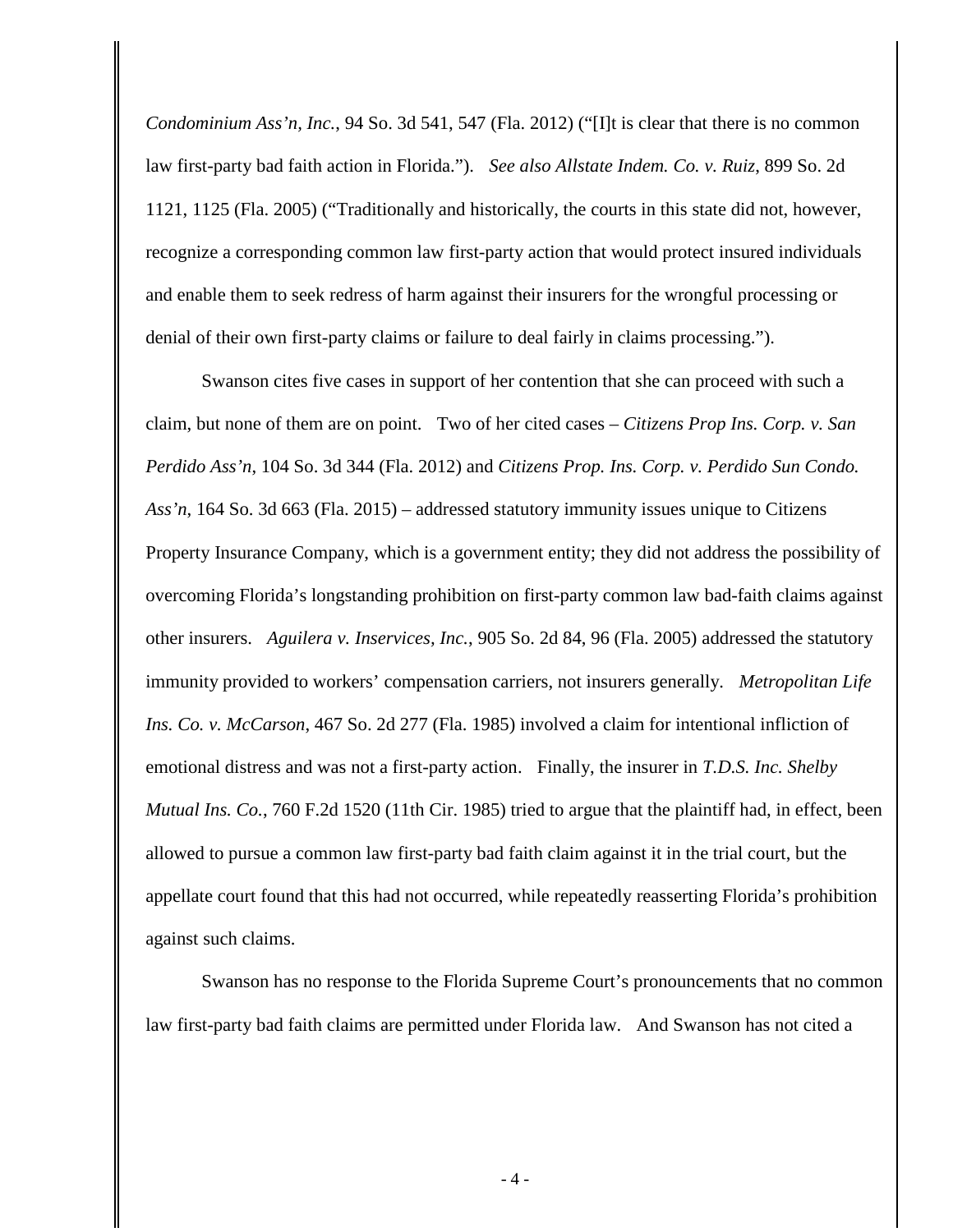*Condominium Ass'n, Inc.*, 94 So. 3d 541, 547 (Fla. 2012) ("[I]t is clear that there is no common law first-party bad faith action in Florida."). *See also Allstate Indem. Co. v. Ruiz*, 899 So. 2d 1121, 1125 (Fla. 2005) ("Traditionally and historically, the courts in this state did not, however, recognize a corresponding common law first-party action that would protect insured individuals and enable them to seek redress of harm against their insurers for the wrongful processing or denial of their own first-party claims or failure to deal fairly in claims processing.").

Swanson cites five cases in support of her contention that she can proceed with such a claim, but none of them are on point. Two of her cited cases – *Citizens Prop Ins. Corp. v. San Perdido Ass'n*, 104 So. 3d 344 (Fla. 2012) and *Citizens Prop. Ins. Corp. v. Perdido Sun Condo. Ass'n*, 164 So. 3d 663 (Fla. 2015) – addressed statutory immunity issues unique to Citizens Property Insurance Company, which is a government entity; they did not address the possibility of overcoming Florida's longstanding prohibition on first-party common law bad-faith claims against other insurers. *Aguilera v. Inservices, Inc.*, 905 So. 2d 84, 96 (Fla. 2005) addressed the statutory immunity provided to workers' compensation carriers, not insurers generally. *Metropolitan Life Ins. Co. v. McCarson*, 467 So. 2d 277 (Fla. 1985) involved a claim for intentional infliction of emotional distress and was not a first-party action. Finally, the insurer in *T.D.S. Inc. Shelby Mutual Ins. Co.*, 760 F.2d 1520 (11th Cir. 1985) tried to argue that the plaintiff had, in effect, been allowed to pursue a common law first-party bad faith claim against it in the trial court, but the appellate court found that this had not occurred, while repeatedly reasserting Florida's prohibition against such claims.

Swanson has no response to the Florida Supreme Court's pronouncements that no common law first-party bad faith claims are permitted under Florida law. And Swanson has not cited a